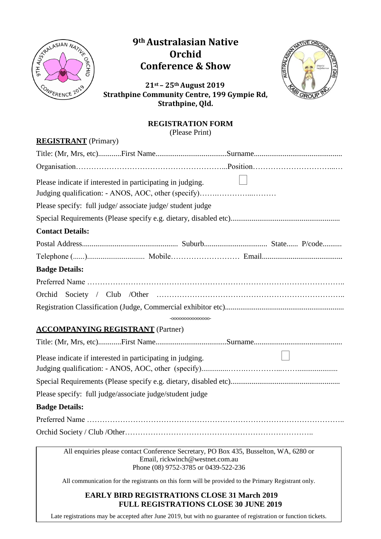

## **9th Australasian Native Orchid Conference & Show**



**21st – 25th August 2019 Strathpine Community Centre, 199 Gympie Rd, Strathpine, Qld.**

## **REGISTRATION FORM**

(Please Print)

| <b>REGISTRANT</b> (Primary)                                                                                                                                      |  |
|------------------------------------------------------------------------------------------------------------------------------------------------------------------|--|
|                                                                                                                                                                  |  |
|                                                                                                                                                                  |  |
| Please indicate if interested in participating in judging.<br>Judging qualification: - ANOS, AOC, other (specify)                                                |  |
| Please specify: full judge/associate judge/student judge                                                                                                         |  |
|                                                                                                                                                                  |  |
| <b>Contact Details:</b>                                                                                                                                          |  |
|                                                                                                                                                                  |  |
|                                                                                                                                                                  |  |
| <b>Badge Details:</b>                                                                                                                                            |  |
|                                                                                                                                                                  |  |
|                                                                                                                                                                  |  |
|                                                                                                                                                                  |  |
| -000000000000000-<br><b>ACCOMPANYING REGISTRANT</b> (Partner)                                                                                                    |  |
|                                                                                                                                                                  |  |
| Please indicate if interested in participating in judging.                                                                                                       |  |
|                                                                                                                                                                  |  |
| Please specify: full judge/associate judge/student judge                                                                                                         |  |
| <b>Badge Details:</b>                                                                                                                                            |  |
|                                                                                                                                                                  |  |
|                                                                                                                                                                  |  |
| All enquiries please contact Conference Secretary, PO Box 435, Busselton, WA, 6280 or<br>Email, rickwinch@westnet.com.au<br>Phone (08) 9752-3785 or 0439-522-236 |  |

All communication for the registrants on this form will be provided to the Primary Registrant only.

## **EARLY BIRD REGISTRATIONS CLOSE 31 March 2019 FULL REGISTRATIONS CLOSE 30 JUNE 2019**

Late registrations may be accepted after June 2019, but with no guarantee of registration or function tickets.